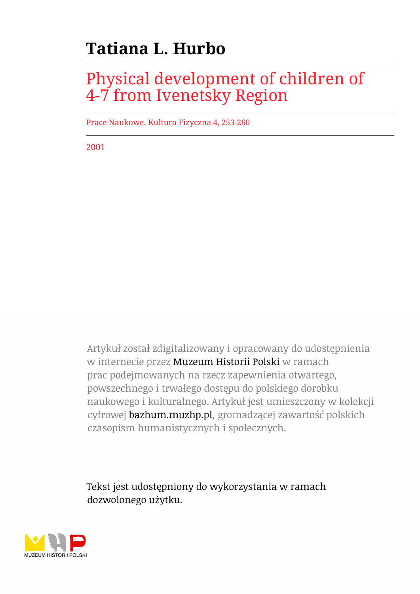# **Tatiana L. Hurbo**

# Physical development of children of 4-7 from Ivenetsky Region

Prace Naukowe. Kultura Fizyczna 4, 253-260

2001

Artykuł został zdigitalizowany i opracowany do udostępnienia w internecie przez Muzeum Historii Polski w ramach prac podejmowanych na rzecz zapewnienia otwartego, powszechnego i trwałego dostępu do polskiego dorobku naukowego i kulturalnego. Artykuł jest umieszczony w kolekcji cyfrowej bazhum.muzhp.pl, gromadzącej zawartość polskich czasopism humanistycznych i społecznych.

Tekst jest udostępniony do wykorzystania w ramach dozwolonego użytku.

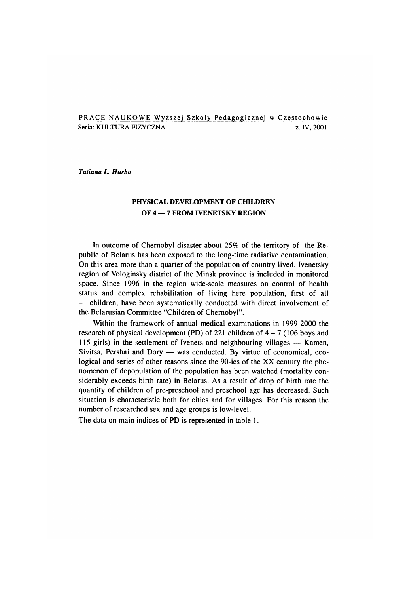#### PRACE NAUKOWE Wyższej Szkoły Pedagogicznej w Częstochowie Seria: KULTURA FIZYCZNA za zastawa za zastawa za iv, 2001

*Tatiana L. Hurbo*

### **PHYSICAL DEVELOPMENT OF CHILDREN OF 4 — 7 FROM IVENETSKY REGION**

In outcome of Chernobyl disaster about 25% of the territory of the Republic of Belarus has been exposed to the long-time radiative contamination. On this area more than a quarter of the population of country lived. Ivenetsky region of Vologinsky district of the Minsk province is included in monitored space. Since 1996 in the region wide-scale measures on control of health status and complex rehabilitation of living here population, first of all — children, have been systematically conducted with direct involvement of the Belarusian Committee "Children of Chernobyl".

Within the framework of annual medical examinations in 1999-2000 the research of physical development (PD) of 221 children of  $4 - 7$  (106 boys and  $115$  girls) in the settlement of Ivenets and neighbouring villages  $-$  Kamen, Sivitsa, Pershai and Dory  $-$  was conducted. By virtue of economical, ecological and series of other reasons since the 90-ies of the XX century the phenomenon of depopulation of the population has been watched (mortality considerably exceeds birth rate) in Belarus. As a result of drop of birth rate the quantity of children of pre-preschool and preschool age has decreased. Such situation is characteristic both for cities and for villages. For this reason the num ber of researched sex and age groups is low-level.

The data on main indices of PD is represented in table 1.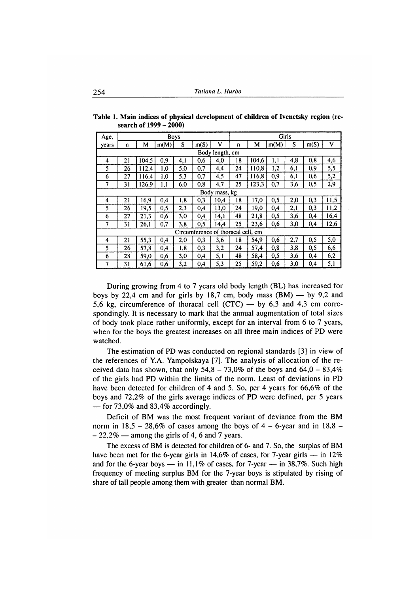| Age,  | <b>Girls</b><br><b>Boys</b> |       |      |     |                                    |      |    |       |      |     |      |      |
|-------|-----------------------------|-------|------|-----|------------------------------------|------|----|-------|------|-----|------|------|
| years | n                           | M     | m(M) | S   | m(S)                               | ٧    | n  | M     | m(M) | S   | m(S) | ٧    |
|       | Body length, cm             |       |      |     |                                    |      |    |       |      |     |      |      |
| 4     | 21                          | 104,5 | 0,9  | 4,1 | 0,6                                | 4,0  | 18 | 104,6 | 1,1  | 4,8 | 0,8  | 4,6  |
| 5     | 26                          | 112,4 | 1,0  | 5,0 | 0,7                                | 4,4  | 24 | 110,8 | 1,2  | 6,1 | 0,9  | 5,5  |
| 6     | 27                          | 116,4 | 1,0  | 5,3 | 0,7                                | 4,5  | 47 | 116,8 | 0,9  | 6,1 | 0,6  | 5,2  |
| 7     | 31                          | 126,9 | 1,1  | 6,0 | 0,8                                | 4.7  | 25 | 123,3 | 0,7  | 3,6 | 0,5  | 2,9  |
|       | Body mass, kg               |       |      |     |                                    |      |    |       |      |     |      |      |
| 4     | 21                          | 16,9  | 0,4  | 1,8 | 0,3                                | 10,4 | 18 | 17,0  | 0,5  | 2,0 | 0,3  | 11,5 |
| 5     | 26                          | 19,5  | 0.5  | 2,3 | 0,4                                | 13,0 | 24 | 19,0  | 0,4  | 2,1 | 0,3  | 11,2 |
| 6     | 27                          | 21,3  | 0.6  | 3,0 | 0,4                                | 14,1 | 48 | 21,8  | 0,5  | 3,6 | 0,4  | 16,4 |
| 7     | 31                          | 26,1  | 0,7  | 3,8 | 0,5                                | 14,4 | 25 | 23,6  | 0,6  | 3,0 | 0,4  | 12,6 |
|       |                             |       |      |     | Circumference of thoracal cell, cm |      |    |       |      |     |      |      |
| 4     | 21                          | 55,3  | 0,4  | 2,0 | 0,3                                | 3,6  | 18 | 54,9  | 0,6  | 2,7 | 0,5  | 5,0  |
| 5     | 26                          | 57,8  | 0,4  | 1,8 | 0,3                                | 3,2  | 24 | 57,4  | 0,8  | 3,8 | 0,5  | 6,6  |
| 6     | 28                          | 59,0  | 0.6  | 3,0 | 0,4                                | 5,1  | 48 | 58,4  | 0,5  | 3,6 | 0,4  | 6,2  |
| 7     | 31                          | 61,6  | 0,6  | 3,2 | 0,4                                | 5,3  | 25 | 59,2  | 0,6  | 3,0 | 0,4  | 5,1  |

**Table 1. Main indices of physical development of children of Ivenetsky region (research of 1999 - 2000)**

During growing from 4 to 7 years old body length (BL) has increased for boys by 22,4 cm and for girls by 18,7 cm, body mass  $(BM)$  — by 9,2 and 5,6 kg, circumference of thoracal cell  $(CTC)$  — by 6,3 and 4,3 cm correspondingly. It is necessary to mark that the annual augmentation of total sizes of body took place rather uniformly, except for an interval from 6 to 7 years, when for the boys the greatest increases on all three main indices of PD were watched.

The estimation of PD was conducted on regional standards [3] in view of the references of Y.A. Yampolskaya [7]. The analysis of allocation of the received data has shown, that only  $54.8 - 73.0\%$  of the boys and  $64.0 - 83.4\%$ of the girls had PD within the limits of the norm. Least of deviations in PD have been detected for children of 4 and 5. So, per 4 years for 66,6% of the boys and 72,2% of the girls average indices of PD were defined, per 5 years — for 73,0% and 83,4% accordingly.

Deficit of BM was the most frequent variant of deviance from the BM norm in  $18,5 - 28,6\%$  of cases among the boys of  $4 - 6$ -year and in  $18,8 -22,2\%$  — among the girls of 4, 6 and 7 years.

The excess of BM is detected for children of 6- and 7. So, the surplas of BM have been met for the 6-year girls in 14,6% of cases, for 7-year girls — in 12% and for the 6-year boys — in 11,1% of cases, for 7-year — in  $38,7\%$ . Such high frequency of meeting surplus BM for the 7-year boys is stipulated by rising of share of tall people among them with greater than normal BM.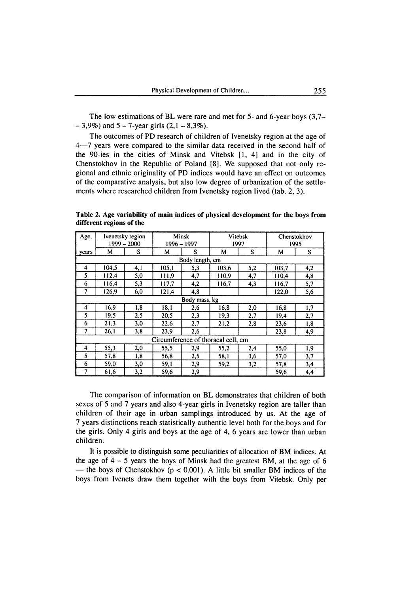The low estimations of BL were rare and met for  $5-$  and  $6$ -year boys  $(3,7 -3,9\%$ ) and  $5 - 7$ -year girls  $(2,1 - 8,3\%)$ .

The outcomes of PD research of children of Ivenetsky region at the age of 4—7 years were compared to the similar data received in the second half of the 90-ies in the cities of Minsk and Vitebsk  $[1, 4]$  and in the city of Chenstokhov in the Republic of Poland [8]. We supposed that not only regional and ethnic originality of PD indices would have an effect on outcomes of the com parative analysis, but also low degree of urbanization of the settlements where researched children from Ivenetsky region lived (tab. 2, 3).

**Table 2. Age variability of main indices of physical development for the boys from different regions of the**

| Age,  | Ivenetsky region<br>$1999 - 2000$ |     | Minsk<br>1996 – 1997               |                 | Vitebsk<br>1997 |     | Chenstokhov<br>1995 |     |  |  |
|-------|-----------------------------------|-----|------------------------------------|-----------------|-----------------|-----|---------------------|-----|--|--|
| years | М                                 | S   | M                                  | S               | М               | S   | M                   | S   |  |  |
|       |                                   |     |                                    | Body length, cm |                 |     |                     |     |  |  |
| 4     | 104,5                             | 4.1 | 105.1                              | 5,3             | 103,6           | 5,2 | 103,7               | 4,2 |  |  |
| 5     | 112,4                             | 5,0 | 111,9                              | 4,7             | 110.9           | 4,7 | 110,4               | 4,8 |  |  |
| 6     | 116,4                             | 5,3 | 117,7                              | 4,2             | 116,7           | 4,3 | 116,7               | 5,7 |  |  |
| 7     | 126,9                             | 6,0 | 121.4                              | 4,8             |                 |     | 122,0               | 5,6 |  |  |
|       | Body mass, kg                     |     |                                    |                 |                 |     |                     |     |  |  |
| 4     | 16,9                              | 1,8 | 18,1                               | 2,6             | 16,8            | 2,0 | 16,8                | 1,7 |  |  |
| 5     | 19,5                              | 2,5 | 20,5                               | 2,3             | 19,3            | 2,7 | 19,4                | 2,7 |  |  |
| 6     | 21,3                              | 3,0 | 22,6                               | 2,7             | 21,2            | 2,8 | 23,6                | 1,8 |  |  |
| 7     | 26,1                              | 3,8 | 23,9                               | 2,6             |                 |     | 23,8                | 4,9 |  |  |
|       |                                   |     | Circumference of thoracal cell, cm |                 |                 |     |                     |     |  |  |
| 4     | 55,3                              | 2,0 | 55.5                               | 2,9             | 55,2            | 2,4 | 55,0                | 1,9 |  |  |
| 5     | 57,8                              | 1,8 | 56,8                               | 2,5             | 58,1            | 3,6 | 57,0                | 3,7 |  |  |
| 6     | 59,0                              | 3,0 | 59,1                               | 2,9             | 59,2            | 3,2 | 57,8                | 3,4 |  |  |
| 7     | 61,6                              | 3,2 | 59,6                               | 2,9             |                 |     | 59,6                | 4,4 |  |  |

The comparison of information on BL demonstrates that children of both sexes of 5 and 7 years and also 4-year girls in Ivenetsky region are taller than children of their age in urban samplings introduced by us. At the age of 7 years distinctions reach statistically authentic level both for the boys and for the girls. Only 4 girls and boys at the age of 4, 6 years are lower than urban children.

It is possible to distinguish some peculiarities of allocation of BM indices. At the age of  $4 - 5$  years the boys of Minsk had the greatest BM, at the age of 6 — the boys of Chenstokhov ( $p < 0.001$ ). A little bit smaller BM indices of the boys from Ivenets draw them together with the boys from Vitebsk. Only per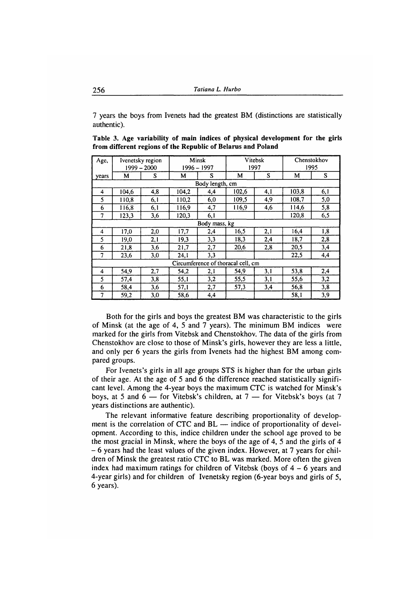*1* years the boys from Ivenets had the greatest BM (distinctions are statistically authentic).

| Table 3. Age variability of main indices of physical development for the girls |  |  |  |  |
|--------------------------------------------------------------------------------|--|--|--|--|
| from different regions of the Republic of Belarus and Poland                   |  |  |  |  |

| Age,           | Ivenetsky region<br>$1999 - 2000$ |     | Minsk<br>$1996 - 1997$ |                 | Vitebsk<br>1997                    |     | Chenstokhov<br>1995 |     |  |  |
|----------------|-----------------------------------|-----|------------------------|-----------------|------------------------------------|-----|---------------------|-----|--|--|
| years          | М                                 | S   | M                      | S               | M                                  | S   | м                   | S   |  |  |
|                |                                   |     |                        | Body length, cm |                                    |     |                     |     |  |  |
| 4              | 104,6                             | 4,8 | 104,2                  | 4,4             | 102,6                              | 4,1 | 103,8               | 6,1 |  |  |
| 5              | 110,8                             | 6,1 | 110,2                  | 6,0             | 109,5                              | 4,9 | 108,7               | 5,0 |  |  |
| 6              | 116,8                             | 6,1 | 116.9                  | 4,7             | 116.9                              | 4,6 | 114,6               | 5,8 |  |  |
| $\overline{7}$ | 123,3                             | 3,6 | 120.3                  | 6,1             |                                    |     | 120.8               | 6,5 |  |  |
|                | Body mass, kg                     |     |                        |                 |                                    |     |                     |     |  |  |
| 4              | 17,0                              | 2,0 | 17,7                   | 2,4             | 16,5                               | 2,1 | 16,4                | 1,8 |  |  |
| 5              | 19,0                              | 2,1 | 19,3                   | 3,3             | 18,3                               | 2,4 | 18,7                | 2,8 |  |  |
| 6              | 21,8                              | 3,6 | 21,7                   | 2,7             | 20,6                               | 2,8 | 20,5                | 3,4 |  |  |
| 7              | 23,6                              | 3,0 | 24,1                   | 3,3             |                                    |     | 22,5                | 4,4 |  |  |
|                |                                   |     |                        |                 | Circumference of thoracal cell, cm |     |                     |     |  |  |
| 4              | 54,9                              | 2,7 | 54,2                   | 2.1             | 54,9                               | 3,1 | 53,8                | 2,4 |  |  |
| 5              | 57,4                              | 3,8 | 55,1                   | 3,2             | 55,5                               | 3,1 | 55,6                | 3,2 |  |  |
| 6              | 58,4                              | 3,6 | 57,1                   | 2,7             | 57,3                               | 3,4 | 56,8                | 3,8 |  |  |
| 7              | 59,2                              | 3,0 | 58.6                   | 4,4             |                                    |     | 58,1                | 3,9 |  |  |

Both for the girls and boys the greatest BM was characteristic to the girls of Minsk (at the age of 4, 5 and 7 years). The minimum BM indices were marked for the girls from Vitebsk and Chenstokhov. The data of the girls from Chenstokhov are close to those of Minsk's girls, however they are less a little, and only per 6 years the girls from Ivenets had the highest BM among com pared groups.

For Ivenets's girls in all age groups STS is higher than for the urban girls of their age. At the age of 5 and 6 the difference reached statistically significant level. Among the 4-year boys the maximum CTC is watched for Minsk's boys, at 5 and  $6 -$  for Vitebsk's children, at 7  $-$  for Vitebsk's boys (at 7 years distinctions are authentic).

The relevant informative feature describing proportionality of development is the correlation of CTC and BL — indice of proportionality of development. According to this, indice children under the school age proved to be the most gracial in Minsk, where the boys of the age of 4, 5 and the girls of 4 - 6 years had the least values of the given index. However, at 7 years for children of Minsk the greatest ratio CTC to BL was marked. More often the given index had maximum ratings for children of Vitebsk (boys of  $4 - 6$  years and 4-year girls) and for children of Ivenetsky region (6-year boys and girls of 5, 6 years).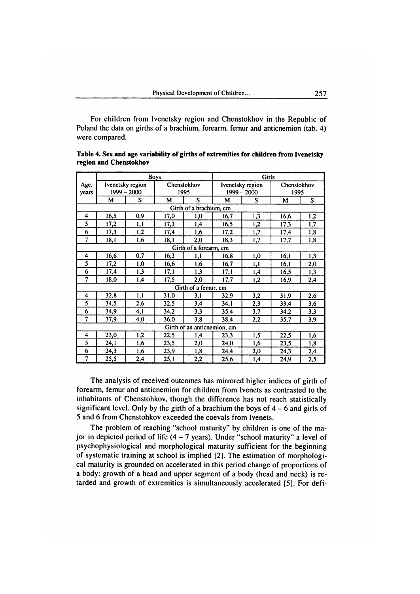For children from Ivenetsky region and Chenstokhov in the Republic of Poland the data on girths of a brachium, forearm, femur and anticnemion (tab. 4) were compared.

|                         | <b>Boys</b>                 |                  |      |                         | <b>Girls</b> |                  |      |             |  |
|-------------------------|-----------------------------|------------------|------|-------------------------|--------------|------------------|------|-------------|--|
| Age,                    |                             | Ivenetsky region |      | Chenstokhov             |              | Ivenetsky region |      | Chenstokhov |  |
| years                   |                             | $1999 - 2000$    |      | 1995                    |              | $1999 - 2000$    |      | 1995        |  |
|                         | М                           | S                | M    | S                       | M            | S                | M    | S.          |  |
|                         |                             |                  |      | Girth of a brachium, cm |              |                  |      |             |  |
| 4                       | 16,5                        | 0,9              | 17,0 | 1,0                     | 16,7         | 1,3              | 16,6 | 1,2         |  |
| 5                       | 17,2                        | 1,1              | 17,3 | 1,4                     | 16,5         | 1,2              | 17,3 | 1,7         |  |
| 6                       | 17,3                        | 1,2              | 17,4 | 1,6                     | 17,2         | 1,7              | 17,4 | 1,8         |  |
| 7                       | 18,1                        | 1,6              | 18,1 | 2,0                     | 18,3         | 1,7              | 17,7 | 1,8         |  |
|                         |                             |                  |      | Girth of a forearm, cm  |              |                  |      |             |  |
| $\overline{\mathbf{4}}$ | 16,6                        | 0,7              | 16,3 | 1,1                     | 16,8         | 1,0              | 16,1 | 1,3         |  |
| 5                       | 17,2                        | 1,0              | 16,6 | 1,6                     | 16,7         | 1,1              | 16,1 | 2,0         |  |
| 6                       | 17,4                        | 1,3              | 17,1 | 1,3                     | 17,1         | 1,4              | 16,5 | 1.3         |  |
| $\overline{7}$          | 18,0                        | 1,4              | 17,5 | 2,0                     | 17.7         | 1,2              | 16,9 | 2,4         |  |
|                         |                             |                  |      | Girth of a femur, cm    |              |                  |      |             |  |
| 4                       | 32,8                        | 1,1              | 31,0 | 3,1                     | 32,9         | 3,2              | 31,9 | 2,6         |  |
| 5                       | 34,5                        | 2,6              | 32,5 | 3,4                     | 34.1         | 2,3              | 33,4 | 3,6         |  |
| 6                       | 34,9                        | 4,1              | 34,2 | 3,3                     | 35,4         | 3,7              | 34,2 | 3,3         |  |
| 7                       | 37,9                        | 4,0              | 36,0 | 3,8                     | 38,4         | 2,2              | 35,7 | 3,9         |  |
|                         | Girth of an anticnemion, cm |                  |      |                         |              |                  |      |             |  |
| 4                       | 23,0                        | 1,2              | 22,5 | 1,4                     | 23,3         | 1,5              | 22,5 | 1,6         |  |
| 5                       | 24,1                        | 1,6              | 23,5 | 2,0                     | 24,0         | 1,6              | 23,5 | 1,8         |  |
| 6                       | 24,3                        | 1,6              | 23,9 | 1,8                     | 24,4         | 2,0              | 24,3 | 2,4         |  |
| 7                       | 25,5                        | 2,4              | 25,1 | 2,2                     | 25,6         | 1,4              | 24,9 | 2,5         |  |

| Table 4. Sex and age variability of girths of extremities for children from Ivenetsky |  |
|---------------------------------------------------------------------------------------|--|
| region and Chenstokhov                                                                |  |

The analysis of received outcomes has mirrored higher indices of girth of forearm, femur and anticnemion for children from Ivenets as contrasted to the inhabitants of Chenstohkov, though the difference has not reach statistically significant level. Only by the girth of a brachium the boys of  $4 - 6$  and girls of 5 and 6 from Chenstohkov exceeded the coevals from Ivenets.

The problem of reaching "school maturity" by children is one of the major in depicted period of life  $(4 - 7$  years). Under "school maturity" a level of psychophysiological and morphological maturity sufficient for the beginning of systematic training at school is implied [2]. The estimation of morphological maturity is grounded on accelerated in this period change of proportions of a body: growth of a head and upper segment of a body (head and neck) is retarded and growth of extremities is simultaneously accelerated [5]. For defi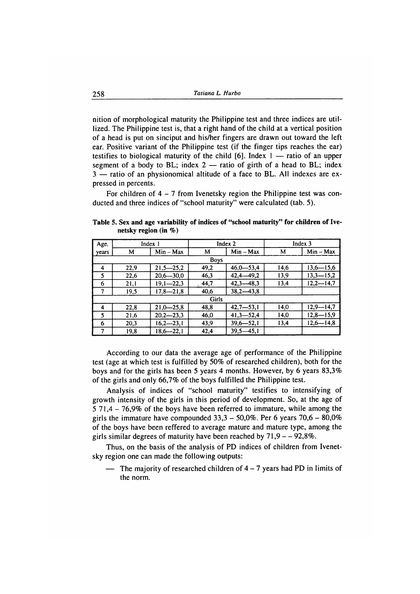nition of morphological maturity the Philippine test and three indices are utillized. The Philippine test is, that a right hand of the child at a vertical position of a head is put on sinciput and his/her fingers are drawn out toward the left ear. Positive variant of the Philippine test (if the finger tips reaches the ear) testifies to biological maturity of the child  $[6]$ . Index 1 — ratio of an upper segment of a body to BL; index  $2$  — ratio of girth of a head to BL; index 3 — ratio of an physionomical altitude of a face to BL. All indexes are expressed in percents.

For children of  $4 - 7$  from Ivenetsky region the Philippine test was conducted and three indices of "school maturity" were calculated (tab. 5).

**Table 5. Sex and age variability of indices of "school maturity" for children of Ivenetsky region (in %)**

| Age,                    | Index 1      |               |       | Index 2       | Index 3 |               |  |  |  |
|-------------------------|--------------|---------------|-------|---------------|---------|---------------|--|--|--|
| years                   | м            | $Min - Max$   | M     | $Min - Max$   | M       | $Min - Max$   |  |  |  |
|                         |              |               |       |               |         |               |  |  |  |
| $\overline{\mathbf{4}}$ | 22,9         | $21,5 - 25,2$ | 49,2  | $46,0 - 53,4$ | 14,6    | $13.6 - 15.6$ |  |  |  |
| - 5                     | 22,6         | $20,6 - 30,0$ | 46,3  | $42.4 - 49.2$ | 13,9    | $13.3 - 15.2$ |  |  |  |
| -6                      | 21,1         | $19,1 - 22,3$ | .44,7 | $42.3 - 48.3$ | 13,4    | $12.2 - 14.7$ |  |  |  |
|                         | 19,5         | $17,8 - 21,8$ | 40,6  | $38.2 - 43.8$ |         |               |  |  |  |
|                         | <b>Girls</b> |               |       |               |         |               |  |  |  |
| 4                       | 22,8         | $21.0 - 25.8$ | 48,8  | $42.7 - 53.1$ | 14,0    | $12,9 - 14,7$ |  |  |  |
| 5                       | 21,6         | $20,2 - 23,3$ | 46,0  | $41.3 - 52.4$ | 14,0    | $12,8 - 15,9$ |  |  |  |
| 6                       | 20,3         | $16.2 - 23.1$ | 43,9  | $39,6 - 52,1$ | 13,4    | $12,6 - 14,8$ |  |  |  |
|                         | 19.8         | $18.6 - 22.1$ | 42.4  | $39.5 - 45.1$ |         |               |  |  |  |

According to our data the average age of performance of the Philippine test (age at which test is fulfilled by 50% of researched children), both for the boys and for the girls has been 5 years 4 months. However, by 6 years 83,3% of the girls and only 66,7% of the boys fulfilled the Philippine test.

Analysis of indices of "school maturity" testifies to intensifying of growth intensity of the girls in this period of development. So, at the age of 5 71,4 - 76,9% of the boys have been referred to immature, while among the girls the immature have compounded  $33,3 - 50,0\%$ . Per 6 years  $70,6 - 80,0\%$ of the boys have been reffered to average mature and mature type, among the girls similar degrees of maturity have been reached by  $71,9 - -92,8\%$ .

Thus, on the basis of the analysis of PD indices of children from Ivenetsky region one can made the following outputs:

The majority of researched children of  $4 - 7$  years had PD in limits of the norm.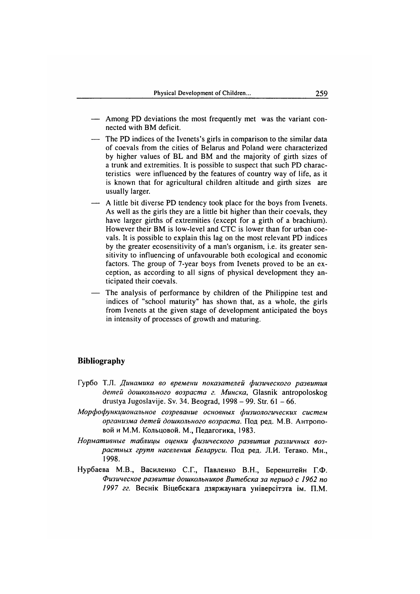- Among PD deviations the most frequently met was the variant connected with BM deficit.
- The PD indices of the Ivenets's girls in comparison to the similar data of coevals from the cities of Belarus and Poland were characterized by higher values of BL and BM and the majority of girth sizes of a trunk and extremities. It is possible to suspect that such PD characteristics were influenced by the features of country way of life, as it is known that for agricultural children altitude and girth sizes are usually larger.
- A little bit diverse PD tendency took place for the boys from Ivenets. As well as the girls they are a little bit higher than their coevals, they have larger girths of extremities (except for a girth of a brachium). However their BM is low-level and CTC is lower than for urban coevals. It is possible to explain this lag on the most relevant PD indices by the greater ecosensitivity of a man's organism, i.e. its greater sensitivity to influencing of unfavourable both ecological and economic factors. The group of 7-year boys from Ivenets proved to be an exception, as according to all signs of physical development they anticipated their coevals.
- The analysis of performance by children of the Philippine test and indices of "school maturity" has shown that, as a whole, the girls from Ivenets at the given stage of development anticipated the boys in intensity of processes of growth and maturing.

### **Bibliography**

- Гурбо Т.Л. Динамика во времени показателей физического развития детей дошкольного возраста г. Минска, Glasnik antropoloskog drustya Jugoslavije. Sv. 34. Beograd, 1998 - 99. Str. 61 - 66.
- *М орфофункциональное созревание основных ф изиологических систем организма дет ей дошкольного возраста.* Под ред. М.В. А нтроповой и М.М. Кольцовой. М., Педагогика, 1983.
- Нормативные таблицы оценки физического развития различных воз*раст ны х групп населения Беларуси.* Под ред. Ј1.И. Тегако. Мн., 1998.
- Нурбаева М.В., Василенко С.Г., Павленко В.H., Беренштейн Г.Ф. *Физическое развит ие дошкольников Витебска за период с 1962 по* 1997 гг. Веснік Віцебскага дзяржаунага універсітэта ім. П.М.